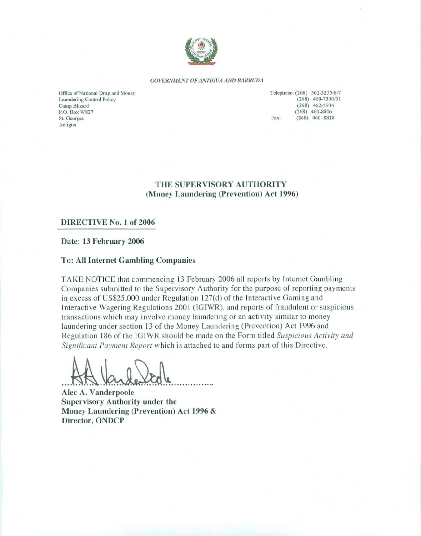

#### GOVERNMENT OF ANTIGUA AND BARBUDA

Office of National Drug and Money Laundering Control Policy Camp Blizard P.O. Box W827 St. Georges Antigua

Telephone: (268) 562-3255/6/7  $(268)$  460-7390/91  $(268)$  462-5934  $(268)$  460-8806 Fax:  $(268)$  460-8818

THE SUPERVISORY AUTHORITY (Money Laundering (Prevention) Act 1996)

#### DIRECTIVE No. 1 of 2006

Date: 13 February 2006

#### **To: All Internet Gambling Companies**

TAKE NOTICE that commencing 13 February 2006 all reports by Internet Gambling Companies submitted to the Supervisory Authority for the purpose of reporting payments in excess of US\$25,000 under Regulation  $127(d)$  of the Interactive Gaming and Interactive Wagering Regulations 2001 (IGIWR), and reports of fraudulent or suspicious transactions which may involve money laundering or an activity similar to money laundering under section 13 of the Money Laundering (Prevention) Act 1996 and Regulation 186 of the IGIWR should be made on the Form titled Suspicious Activity and Significant Payment Report which is attached to and forms part of this Directive.

Alec A. Vanderpoole **Supervisory Authority under the** Money Laundering (Prevention) Act 1996 & Director, ONDCP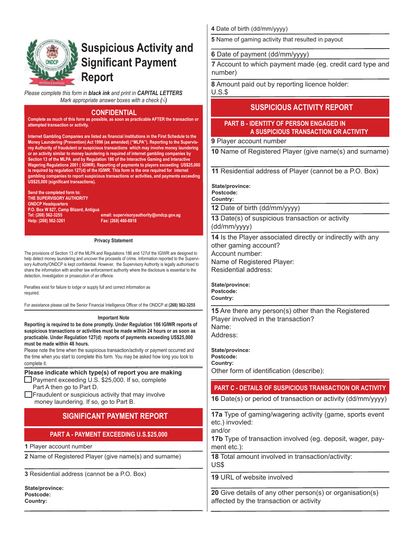

# **Suspicious Activity and Significant Payment Report**

*Please complete this form in black ink and print in CAPITAL LETTERS Mark appropriate answer boxes with a check (√)*

#### **CONFIDENTIAL**

**Complete as much of this form as possible, as soon as practicable AFTER the transaction or attempted transaction or activity.**

**Internet Gambling Companies are listed as financial institutions in the First Schedule to the Money Laundering (Prevention) Act 1996 (as amended) ("MLPA"). Reporting to the Supervisroy Authority of fraudulent or suspicious transactions which may involve money laundering or an activity similar to money laundering is required of internet gambling companies by Section 13 of the MLPA and by Regulation 186 of the Interactive Gaming and Interactive Wagering Regulations 2001 ( IGIWR). Reporting of payments to players exceeding US\$25,000 is required by regulation 127(d) of the IGIWR. This form is the one required for internet gambling companies to report suspicious transactions or activities, and payments exceeding US\$25,000 (significant transactions).** 

**Send the completed form to: THE SUPERVISORY AUTHORITY ONDCP Headquarters P.O. Box W 827, Camp Blizard, Antigua Help: (268) 562-3261 Fax: (268) 460-8818** 

**Tel: (268) 562-3255 email: supervisoryauthority@ondcp.gov.ag**

#### **Privacy Statement**

The provisions of Section 13 of the MLPA and Regulations 186 and 127of the IGIWR are designed to help detect money laundering and uncover the proceeds of crime. Information reported to the Supervisory Authority/ONDCP is kept confidential. However, the Supervisory Authority is legally authorised to share the information with another law enforcement authority where the disclosure is essential to the detection, investigation or prosecution of an offence.

Penalties exist for failure to lodge or supply full and correct information as required.

For assistance please call the Senior Financial Intelligence Officer of the ONDCP at **(268) 562-3255**

#### **Important Note**

**Reporting is required to be done promptly. Under Regulation 186 IGIWR reports of suspicious transactions or activities must be made within 24 hours or as soon as practicable. Under Regulation 127(d) reports of payments exceeding US\$25,000 must be made within 48 hours.**

Please note the time when the suspicious transaction/activity or payment occurred and the time when you start to complete this form. You may be asked how long you took to complete it.

## **Please indicate which type(s) of report you are making**

□Payment exceeding U.S. \$25,000. If so, complete Part A then go to Part D.

 $\Box$  Fraudulent or suspicious activity that may involve money laundering. If so, go to Part B.

# **SIGNIFICANT PAYMENT REPORT**

#### **PART A - PAYMENT EXCEEDING U.S.\$25,000**

**1** Player account number

**2** Name of Registered Player (give name(s) and surname)

**3** Residential address (cannot be a P.O. Box)

**State/province: Postcode: Country:**

**4** Date of birth (dd/mm/yyyy)

**5** Name of gaming activity that resulted in payout

#### **6** Date of payment (dd/mm/yyyy)

**7** Account to which payment made (eg. credit card type and number)

**8** Amount paid out by reporting licence holder:

U.S.\$

## **SUSPICIOUS ACTIVITY REPORT**

## **PART B - IDENTITY OF PERSON ENGAGED IN A SUSPICIOUS TRANSACTION OR ACTIVITY**

**9** Player account number

**10** Name of Registered Player (give name(s) and surname)

**11** Residential address of Player (cannot be a P.O. Box)

**State/province:**

**Postcode: Country:**

**12** Date of birth (dd/mm/yyyy)

**13** Date(s) of suspicious transaction or activity (dd/mm/yyyy)

**14** Is the Player associated directly or indirectly with any other gaming account? Account number: Name of Registered Player: Residential address:

**State/province: Postcode: Country:**

**15** Are there any person(s) other than the Registered Player involved in the transaction? Name: Address:

**State/province: Postcode: Country:** Other form of identification (describe):

## **PART C - DETAILS OF SUSPICIOUS TRANSACTION OR ACTIVITY**

**16** Date(s) or period of transaction or activity (dd/mm/yyyy)

**17a** Type of gaming/wagering activity (game, sports event etc.) invovled:

and/or

**17b** Type of transaction involved (eg. deposit, wager, payment etc.):

**18** Total amount involved in transaction/activity: US\$

**19** URL of website involved

**20** Give details of any other person(s) or organisation(s) affected by the transaction or activity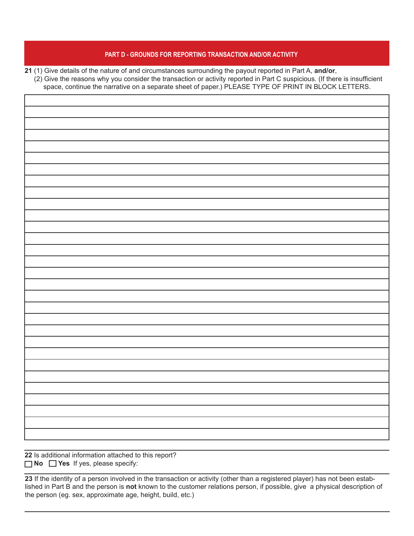#### **PART D - GROUNDS FOR REPORTING TRANSACTION AND/OR ACTIVITY**

**21** (1) Give details of the nature of and circumstances surrounding the payout reported in Part A, **and/or**,

 (2) Give the reasons why you consider the transaction or activity reported in Part C suspicious. (If there is insufficient space, continue the narrative on a separate sheet of paper.) PLEASE TYPE OF PRINT IN BLOCK LETTERS.

**22** Is additional information attached to this report? **No Yes** If yes, please specify:

**23** If the identity of a person involved in the transaction or activity (other than a registered player) has not been established in Part B and the person is **not** known to the customer relations person, if possible, give a physical description of the person (eg. sex, approximate age, height, build, etc.)